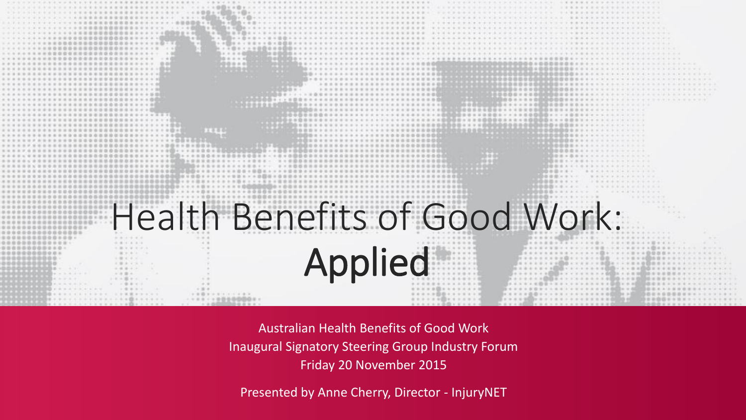

Australian Health Benefits of Good Work Inaugural Signatory Steering Group Industry Forum Friday 20 November 2015

Presented by Anne Cherry, Director - InjuryNET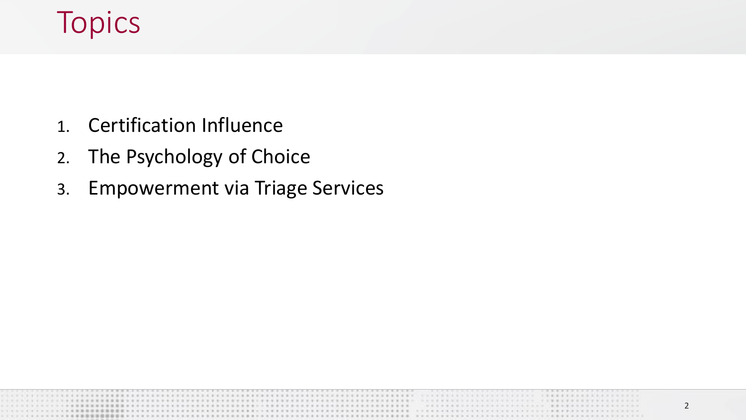## Topics

- 1. Certification Influence
- 2. The Psychology of Choice
- 3. Empowerment via Triage Services

2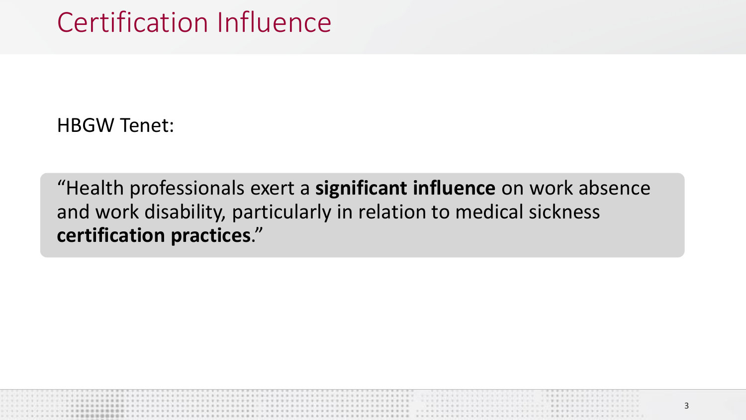HBGW Tenet:

"Health professionals exert a **significant influence** on work absence and work disability, particularly in relation to medical sickness **certification practices**."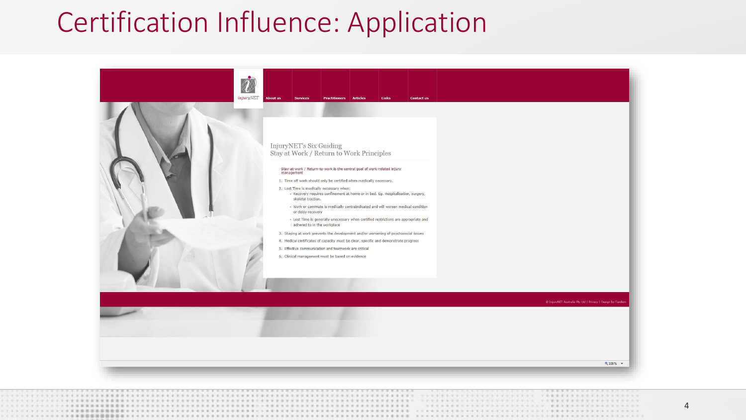## Certification Influence: Application

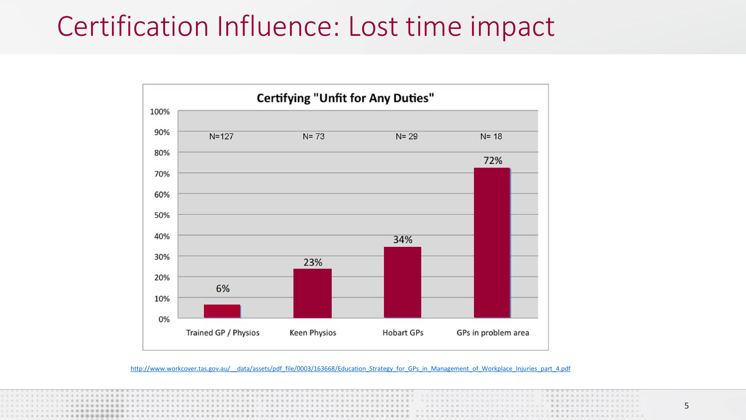

http://www.workcover.tas.gov.au/ data/assets/pdf\_file/0003/163668/Education\_Strategy\_for\_GPs\_in\_Management\_of\_Workplace\_Injuries\_part\_4.pdf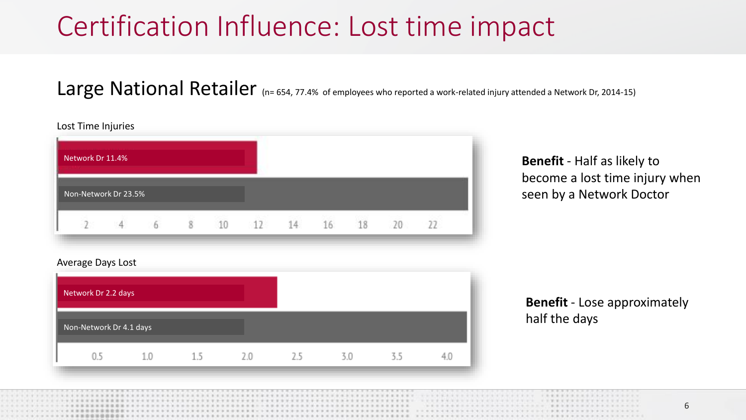### Large National Retailer (n= 654, 77.4% of employees who reported a work-related injury attended a Network Dr, 2014-15)



**Benefit** - Half as likely to become a lost time injury when seen by a Network Doctor

#### Average Days Lost



**Benefit** - Lose approximately half the days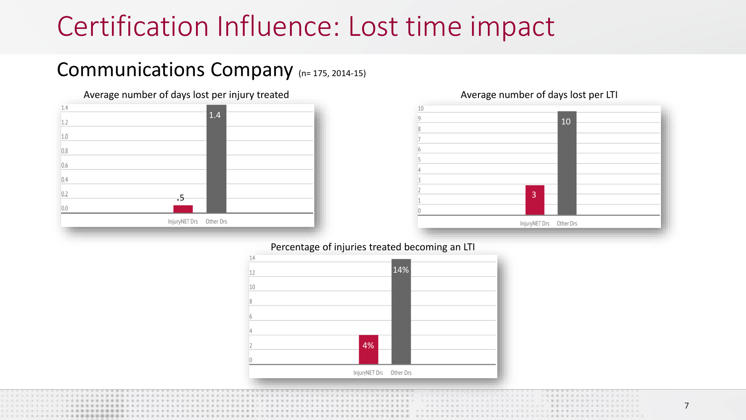### Communications Company (n= 175, 2014-15)







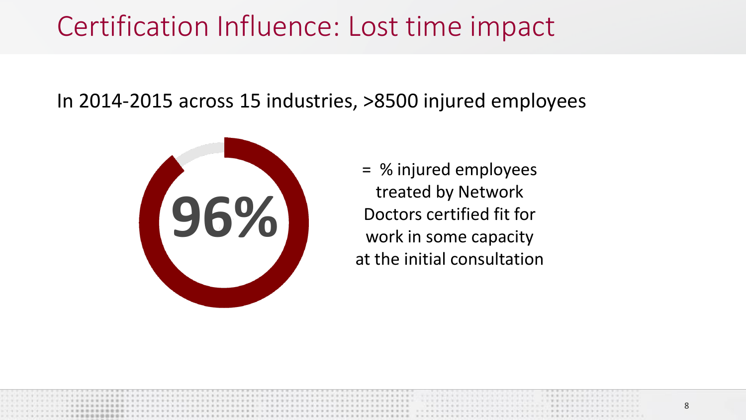In 2014-2015 across 15 industries, >8500 injured employees



= % injured employees treated by Network Doctors certified fit for work in some capacity at the initial consultation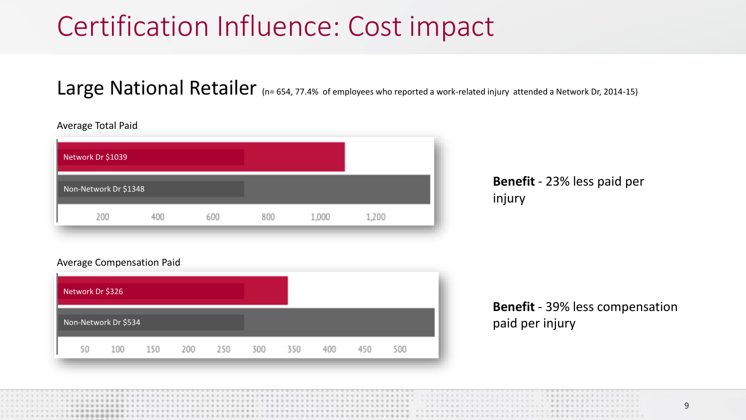### Large National Retailer (n= 654, 77.4% of employees who reported a work-related injury attended a Network Dr, 2014-15)

| Network Dr \$1039     |     |     |     |       |       |  |
|-----------------------|-----|-----|-----|-------|-------|--|
| Non-Network Dr \$1348 |     |     |     |       |       |  |
| 200                   | 400 | 600 | 800 | 1,000 | 1,200 |  |

### **Benefit** - 23% less paid per injury

#### Average Compensation Paid



**Benefit** - 39% less compensation paid per injury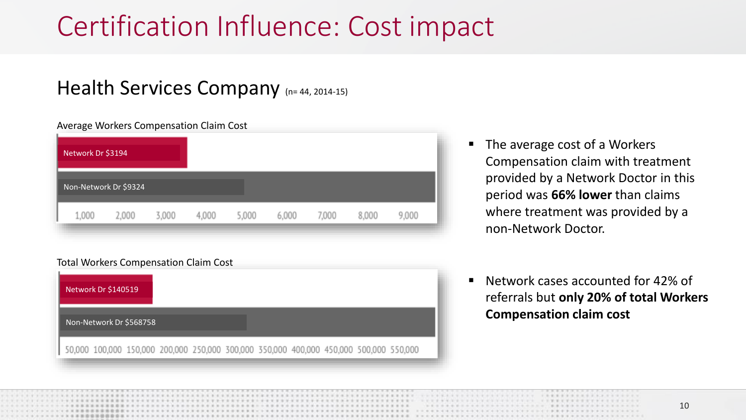### Health Services Company (n= 44, 2014-15)

#### Average Workers Compensation Claim Cost

| Network Dr \$3194     |       |       |       |       |       |       |       |       |  |
|-----------------------|-------|-------|-------|-------|-------|-------|-------|-------|--|
| Non-Network Dr \$9324 |       |       |       |       |       |       |       |       |  |
| 1,000                 | 2,000 | 3,000 | 4,000 | 5,000 | 6,000 | 7,000 | 8,000 | 9,000 |  |

#### Total Workers Compensation Claim Cost



- The average cost of a Workers Compensation claim with treatment provided by a Network Doctor in this period was **66% lower** than claims where treatment was provided by a non-Network Doctor.
- Network cases accounted for 42% of referrals but **only 20% of total Workers Compensation claim cost**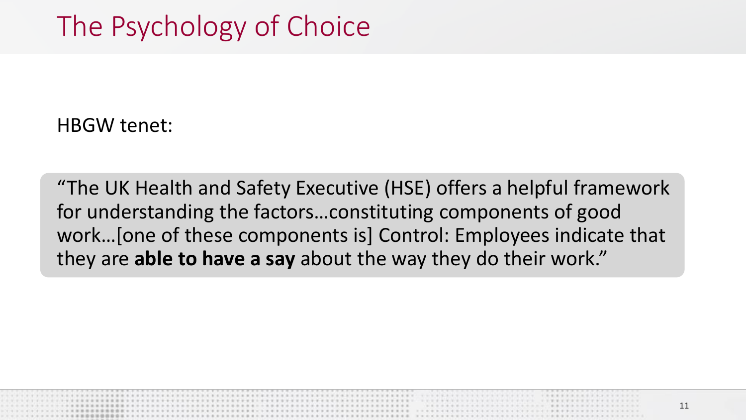HBGW tenet:

"The UK Health and Safety Executive (HSE) offers a helpful framework for understanding the factors…constituting components of good work…[one of these components is] Control: Employees indicate that they are **able to have a say** about the way they do their work."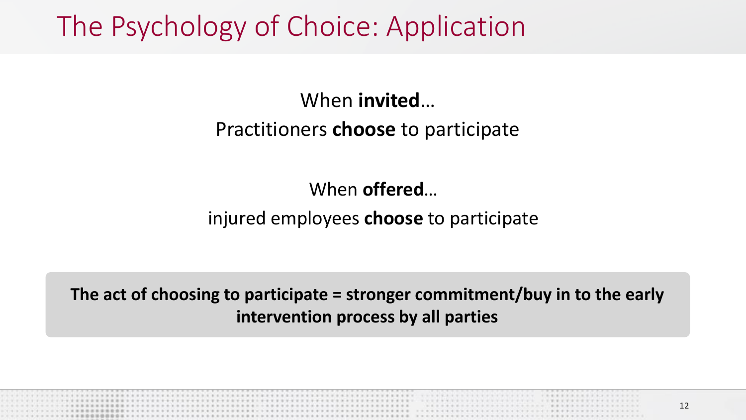The Psychology of Choice: Application

### When **invited**…

### Practitioners **choose** to participate

### When **offered**…

### injured employees **choose** to participate

**The act of choosing to participate = stronger commitment/buy in to the early intervention process by all parties**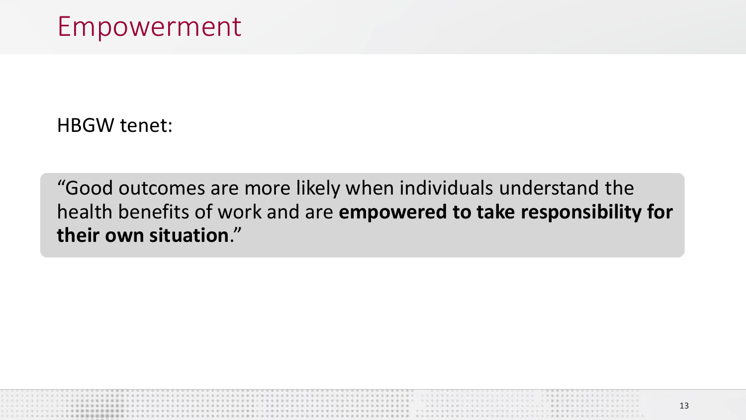HBGW tenet:

"Good outcomes are more likely when individuals understand the health benefits of work and are **empowered to take responsibility for their own situation**."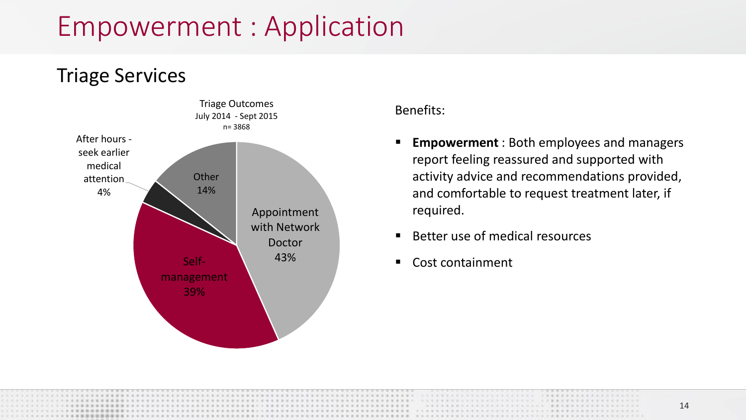## Empowerment : Application



#### Benefits:

- **Empowerment** : Both employees and managers report feeling reassured and supported with activity advice and recommendations provided, and comfortable to request treatment later, if required.
- Better use of medical resources
- Cost containment